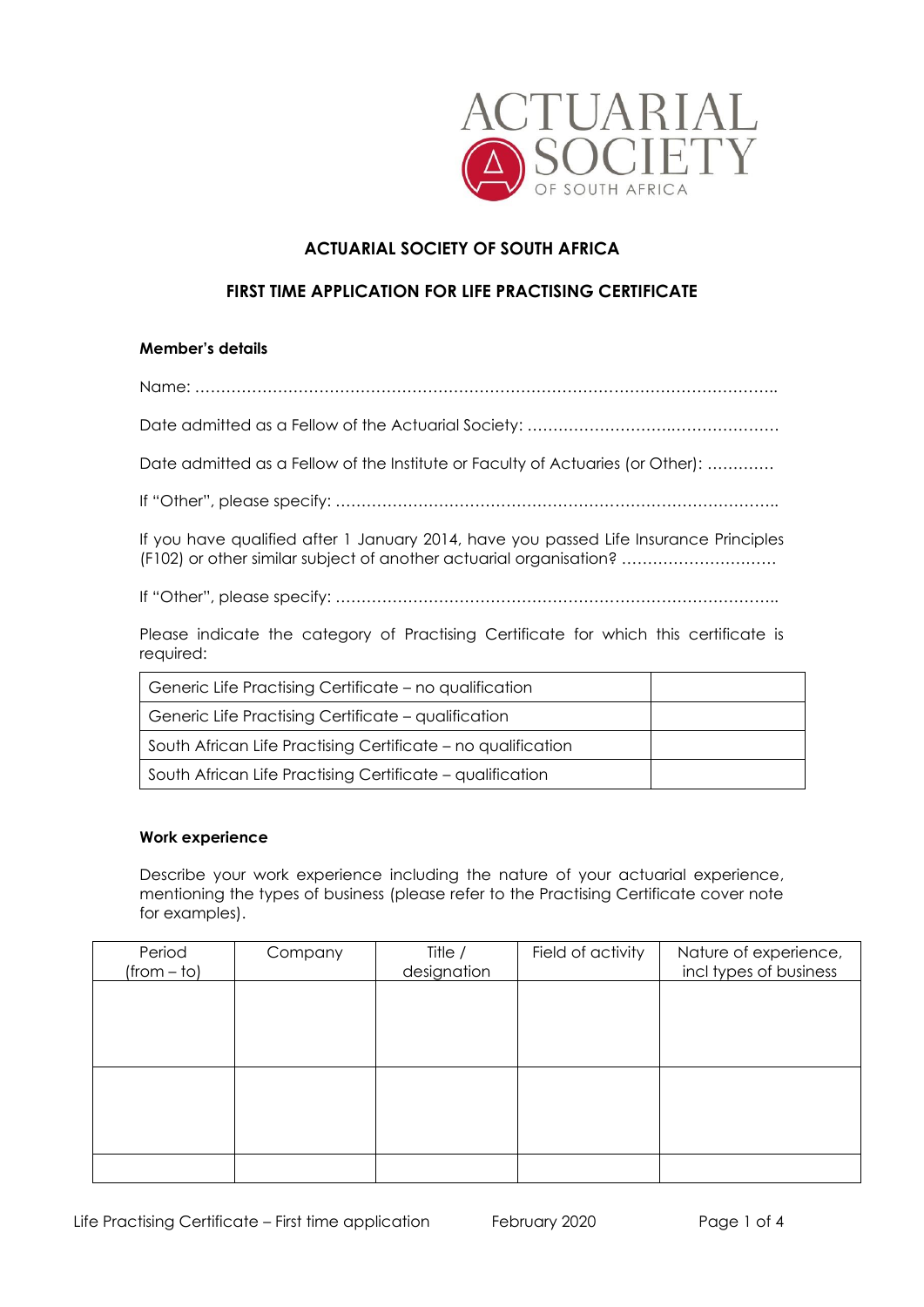

# **ACTUARIAL SOCIETY OF SOUTH AFRICA**

## **FIRST TIME APPLICATION FOR LIFE PRACTISING CERTIFICATE**

#### **Member's details**

Name: …………………………………………………………………………………………………..

Date admitted as a Fellow of the Actuarial Society: ……………………….…………………

Date admitted as a Fellow of the Institute or Faculty of Actuaries (or Other): ………….

If "Other", please specify: …………………………………………………………………………..

If you have qualified after 1 January 2014, have you passed Life Insurance Principles (F102) or other similar subject of another actuarial organisation? …………………………

If "Other", please specify: …………………………………………………………………………..

Please indicate the category of Practising Certificate for which this certificate is required:

| Generic Life Practising Certificate - no qualification       |  |
|--------------------------------------------------------------|--|
| Generic Life Practising Certificate – qualification          |  |
| South African Life Practising Certificate - no qualification |  |
| South African Life Practising Certificate - qualification    |  |

#### **Work experience**

Describe your work experience including the nature of your actuarial experience, mentioning the types of business (please refer to the Practising Certificate cover note for examples).

| Period        | Company | Title /     | Field of activity | Nature of experience,  |
|---------------|---------|-------------|-------------------|------------------------|
| $(from - to)$ |         | designation |                   | incl types of business |
|               |         |             |                   |                        |
|               |         |             |                   |                        |
|               |         |             |                   |                        |
|               |         |             |                   |                        |
|               |         |             |                   |                        |
|               |         |             |                   |                        |
|               |         |             |                   |                        |
|               |         |             |                   |                        |
|               |         |             |                   |                        |
|               |         |             |                   |                        |
|               |         |             |                   |                        |
|               |         |             |                   |                        |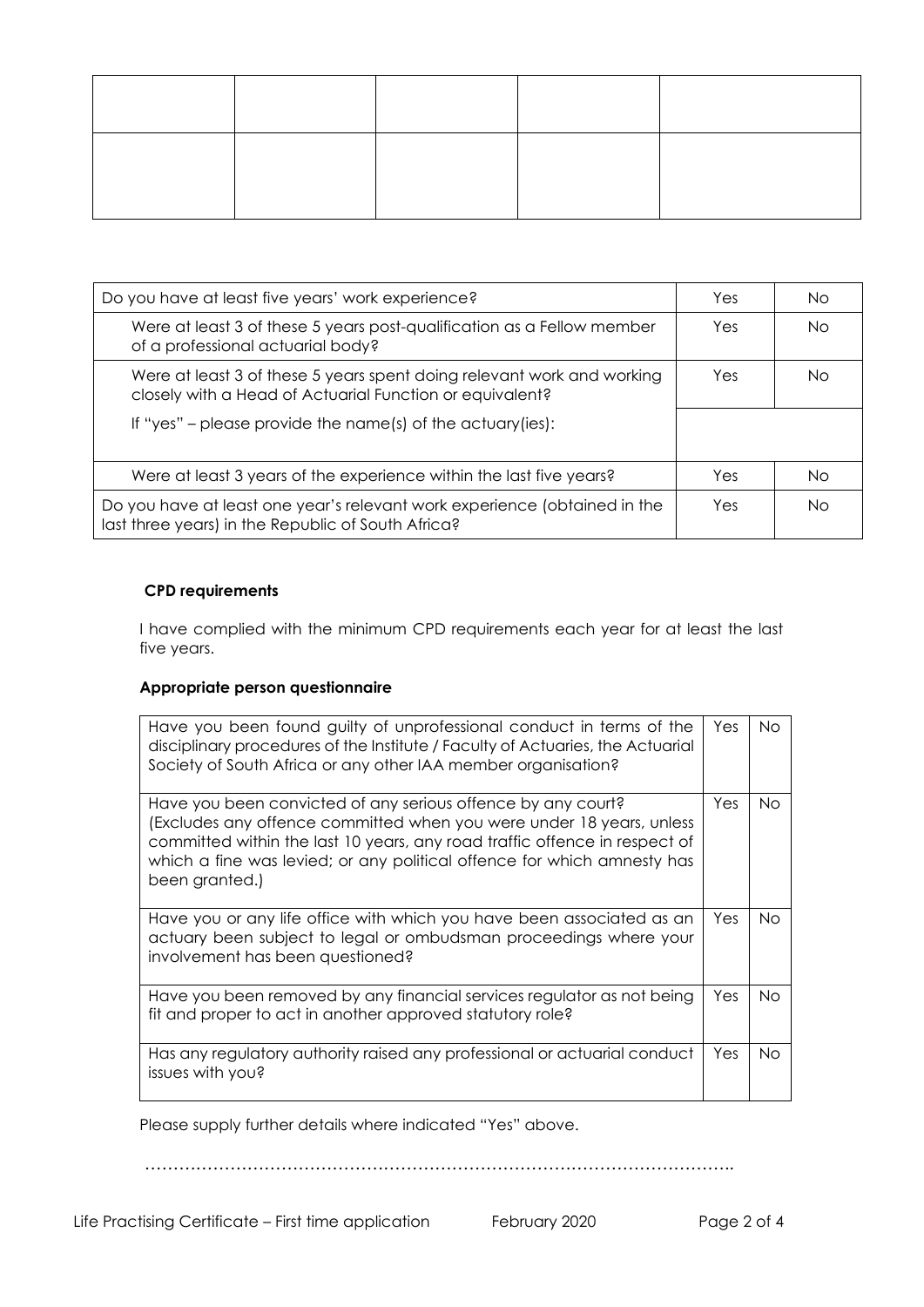| Do you have at least five years' work experience?                                                                                  |     | No. |
|------------------------------------------------------------------------------------------------------------------------------------|-----|-----|
| Were at least 3 of these 5 years post-qualification as a Fellow member<br>of a professional actuarial body?                        |     | No. |
| Were at least 3 of these 5 years spent doing relevant work and working<br>closely with a Head of Actuarial Function or equivalent? | Yes | Nο  |
| If "yes" – please provide the name(s) of the actuary (ies):                                                                        |     |     |
| Were at least 3 years of the experience within the last five years?                                                                | Yes | No. |
| Do you have at least one year's relevant work experience (obtained in the<br>last three years) in the Republic of South Africa?    |     | Nο  |

## **CPD requirements**

I have complied with the minimum CPD requirements each year for at least the last five years.

### **Appropriate person questionnaire**

| Have you been found guilty of unprofessional conduct in terms of the<br>disciplinary procedures of the Institute / Faculty of Actuaries, the Actuarial<br>Society of South Africa or any other IAA member organisation?                                                                                         | Yes  | No. |
|-----------------------------------------------------------------------------------------------------------------------------------------------------------------------------------------------------------------------------------------------------------------------------------------------------------------|------|-----|
| Have you been convicted of any serious offence by any court?<br>(Excludes any offence committed when you were under 18 years, unless<br>committed within the last 10 years, any road traffic offence in respect of<br>which a fine was levied; or any political offence for which amnesty has<br>been granted.) | Yes. | No. |
| Have you or any life office with which you have been associated as an<br>actuary been subject to legal or ombudsman proceedings where your<br>involvement has been questioned?                                                                                                                                  | Yes  | No. |
| Have you been removed by any financial services regulator as not being<br>fit and proper to act in another approved statutory role?                                                                                                                                                                             | Yes  | No. |
| Has any regulatory authority raised any professional or actuarial conduct<br>issues with you?                                                                                                                                                                                                                   | Yes  | No. |

Please supply further details where indicated "Yes" above.

…………………………………………………………………………………………..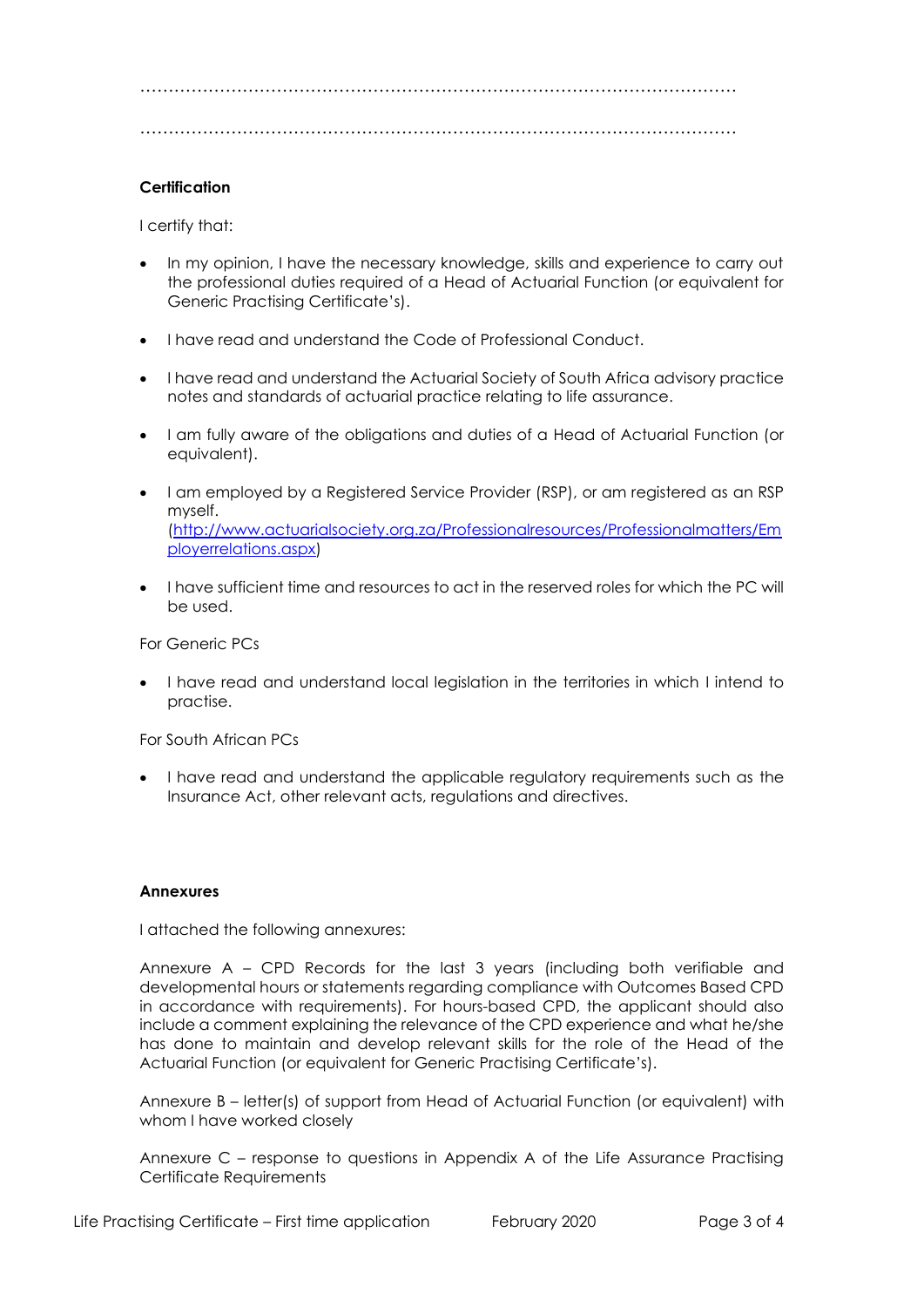……………………………………………………………………………………………

……………………………………………………………………………………………

### **Certification**

I certify that:

- In my opinion, I have the necessary knowledge, skills and experience to carry out the professional duties required of a Head of Actuarial Function (or equivalent for Generic Practising Certificate's).
- I have read and understand the Code of Professional Conduct.
- I have read and understand the Actuarial Society of South Africa advisory practice notes and standards of actuarial practice relating to life assurance.
- I am fully aware of the obligations and duties of a Head of Actuarial Function (or equivalent).
- I am employed by a Registered Service Provider (RSP), or am registered as an RSP myself. [\(http://www.actuarialsociety.org.za/Professionalresources/Professionalmatters/Em](http://www.actuarialsociety.org.za/Professionalresources/Professionalmatters/Employerrelations.aspx) [ployerrelations.aspx\)](http://www.actuarialsociety.org.za/Professionalresources/Professionalmatters/Employerrelations.aspx)
- I have sufficient time and resources to act in the reserved roles for which the PC will be used.

For Generic PCs

• I have read and understand local legislation in the territories in which I intend to practise.

For South African PCs

• I have read and understand the applicable regulatory requirements such as the Insurance Act, other relevant acts, regulations and directives.

#### **Annexures**

I attached the following annexures:

Annexure A – CPD Records for the last 3 years (including both verifiable and developmental hours or statements regarding compliance with Outcomes Based CPD in accordance with requirements). For hours-based CPD, the applicant should also include a comment explaining the relevance of the CPD experience and what he/she has done to maintain and develop relevant skills for the role of the Head of the Actuarial Function (or equivalent for Generic Practising Certificate's).

Annexure B – letter(s) of support from Head of Actuarial Function (or equivalent) with whom I have worked closely

Annexure C – response to questions in Appendix A of the Life Assurance Practising Certificate Requirements